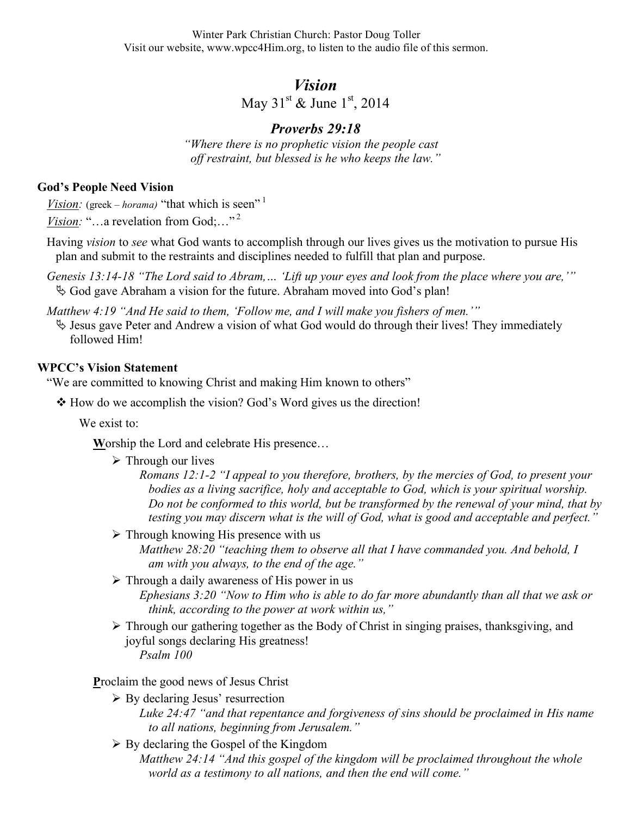Winter Park Christian Church: Pastor Doug Toller Visit our website, www.wpcc4Him.org, to listen to the audio file of this sermon.

## *Vision*

May  $31<sup>st</sup>$  & June  $1<sup>st</sup>$ , 2014

## *Proverbs 29:18*

*"Where there is no prophetic vision the people cast off restraint, but blessed is he who keeps the law."*

## **God's People Need Vision**

*Vision:* (greek – *horama*) "that which is seen"<sup>1</sup>

*Vision*: "...a revelation from God;..."<sup>2</sup>

- Having *vision* to *see* what God wants to accomplish through our lives gives us the motivation to pursue His plan and submit to the restraints and disciplines needed to fulfill that plan and purpose.
- *Genesis 13:14-18 "The Lord said to Abram,… 'Lift up your eyes and look from the place where you are,'"* God gave Abraham a vision for the future. Abraham moved into God's plan!

*Matthew 4:19 "And He said to them, 'Follow me, and I will make you fishers of men.'"*

 $\&$  Jesus gave Peter and Andrew a vision of what God would do through their lives! They immediately followed Him!

## **WPCC's Vision Statement**

"We are committed to knowing Christ and making Him known to others"

 $\triangle$  How do we accomplish the vision? God's Word gives us the direction!

We exist to:

**W**orship the Lord and celebrate His presence…

- $\triangleright$  Through our lives
	- *Romans 12:1-2 "I appeal to you therefore, brothers, by the mercies of God, to present your bodies as a living sacrifice, holy and acceptable to God, which is your spiritual worship. Do not be conformed to this world, but be transformed by the renewal of your mind, that by testing you may discern what is the will of God, what is good and acceptable and perfect."*
- $\triangleright$  Through knowing His presence with us *Matthew 28:20 "teaching them to observe all that I have commanded you. And behold, I am with you always, to the end of the age."*
- $\triangleright$  Through a daily awareness of His power in us *Ephesians 3:20 "Now to Him who is able to do far more abundantly than all that we ask or think, according to the power at work within us,"*
- $\triangleright$  Through our gathering together as the Body of Christ in singing praises, thanksgiving, and joyful songs declaring His greatness! *Psalm 100*

**P**roclaim the good news of Jesus Christ

- $\triangleright$  By declaring Jesus' resurrection
	- *Luke 24:47 "and that repentance and forgiveness of sins should be proclaimed in His name to all nations, beginning from Jerusalem."*
- $\triangleright$  By declaring the Gospel of the Kingdom

*Matthew 24:14 "And this gospel of the kingdom will be proclaimed throughout the whole world as a testimony to all nations, and then the end will come."*